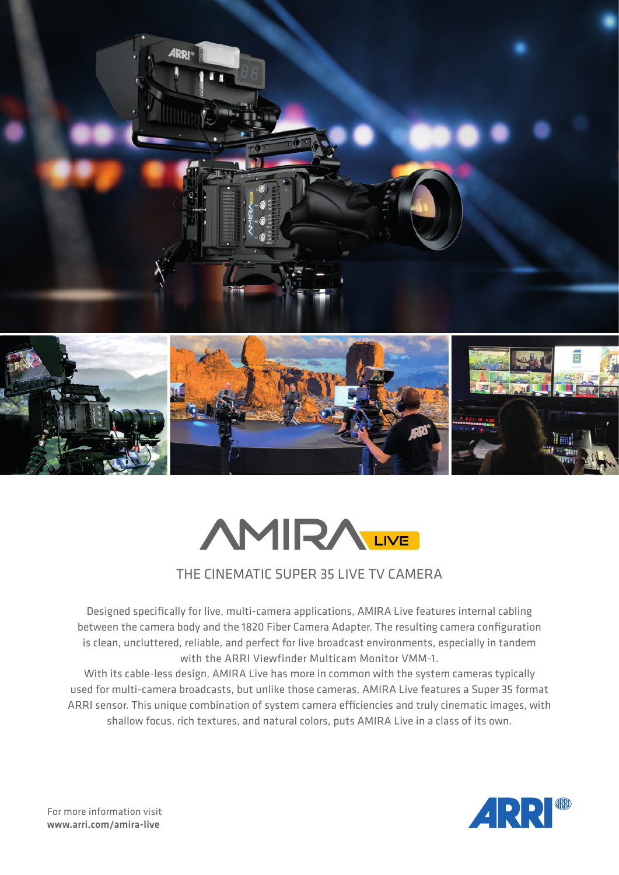



## THE CINEMATIC SUPER 35 LIVE TV CAMERA

Designed specifically for live, multi-camera applications, AMIRA Live features internal cabling between the camera body and the 1820 Fiber Camera Adapter. The resulting camera configuration is clean, uncluttered, reliable, and perfect for live broadcast environments, especially in tandem with the ARRI Viewfinder Multicam Monitor VMM-1.

With its cable-less design, AMIRA Live has more in common with the system cameras typically used for multi-camera broadcasts, but unlike those cameras, AMIRA Live features a Super 35 format ARRI sensor. This unique combination of system camera efficiencies and truly cinematic images, with shallow focus, rich textures, and natural colors, puts AMIRA Live in a class of its own.

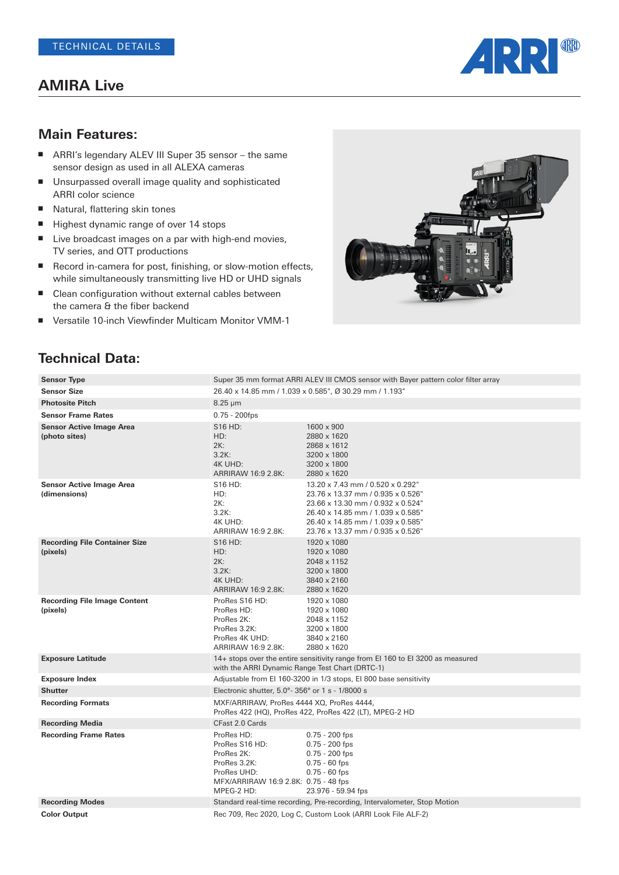## **AMIRA Live**



#### **Main Features:**

- ARRI's legendary ALEV III Super 35 sensor the same sensor design as used in all ALEXA cameras
- Unsurpassed overall image quality and sophisticated ARRI color science
- Natural, flattering skin tones
- Highest dynamic range of over 14 stops
- Live broadcast images on a par with high-end movies, TV series, and OTT productions
- Record in-camera for post, finishing, or slow-motion effects, while simultaneously transmitting live HD or UHD signals
- Clean configuration without external cables between the camera & the fiber backend
- Versatile 10-inch Viewfinder Multicam Monitor VMM-1



| <b>Sensor Type</b>                               | Super 35 mm format ARRI ALEV III CMOS sensor with Bayer pattern color filter array<br>26.40 x 14.85 mm / 1.039 x 0.585", Ø 30.29 mm / 1.193" |                                                                                                                                                                                                                           |
|--------------------------------------------------|----------------------------------------------------------------------------------------------------------------------------------------------|---------------------------------------------------------------------------------------------------------------------------------------------------------------------------------------------------------------------------|
| <b>Sensor Size</b>                               |                                                                                                                                              |                                                                                                                                                                                                                           |
| <b>Photosite Pitch</b>                           | $8.25 \mu m$                                                                                                                                 |                                                                                                                                                                                                                           |
| <b>Sensor Frame Rates</b>                        | $0.75 - 200$ fps                                                                                                                             |                                                                                                                                                                                                                           |
| <b>Sensor Active Image Area</b><br>(photo sites) | S <sub>16</sub> H <sub>D</sub> :<br>HD:<br>2K:<br>3.2K:<br>4K UHD:<br>ARRIRAW 16:9 2.8K:                                                     | 1600 x 900<br>2880 x 1620<br>2868 x 1612<br>3200 x 1800<br>3200 x 1800<br>2880 x 1620                                                                                                                                     |
| <b>Sensor Active Image Area</b><br>(dimensions)  | S16 HD:<br>HD:<br>2K:<br>3.2K:<br>4K UHD:<br>ARRIRAW 16:9 2.8K:                                                                              | 13.20 x 7.43 mm / 0.520 x 0.292"<br>23.76 x 13.37 mm / 0.935 x 0.526"<br>23.66 x 13.30 mm / 0.932 x 0.524"<br>26.40 x 14.85 mm / 1.039 x 0.585"<br>26.40 x 14.85 mm / 1.039 x 0.585"<br>23.76 x 13.37 mm / 0.935 x 0.526" |
| <b>Recording File Container Size</b><br>(pixels) | S16 HD:<br>HD:<br>2K:<br>3.2K:<br>4K UHD:<br>ARRIRAW 16:9 2.8K:                                                                              | 1920 x 1080<br>1920 x 1080<br>2048 x 1152<br>3200 x 1800<br>3840 x 2160<br>2880 x 1620                                                                                                                                    |
| <b>Recording File Image Content</b><br>(pixels)  | ProRes S16 HD:<br>ProRes HD:<br>ProRes 2K:<br>ProRes 3.2K:<br>ProRes 4K UHD:<br>ARRIRAW 16:9 2.8K:                                           | 1920 x 1080<br>1920 x 1080<br>2048 x 1152<br>3200 x 1800<br>3840 x 2160<br>2880 x 1620                                                                                                                                    |
| <b>Exposure Latitude</b>                         | 14+ stops over the entire sensitivity range from EI 160 to EI 3200 as measured<br>with the ARRI Dynamic Range Test Chart (DRTC-1)            |                                                                                                                                                                                                                           |
| <b>Exposure Index</b>                            |                                                                                                                                              | Adjustable from EI 160-3200 in 1/3 stops, EI 800 base sensitivity                                                                                                                                                         |
| <b>Shutter</b>                                   | Electronic shutter, $5.0^\circ$ - 356° or 1 s - 1/8000 s                                                                                     |                                                                                                                                                                                                                           |
| <b>Recording Formats</b>                         | MXF/ARRIRAW, ProRes 4444 XQ, ProRes 4444,<br>ProRes 422 (HQ), ProRes 422, ProRes 422 (LT), MPEG-2 HD                                         |                                                                                                                                                                                                                           |
| <b>Recording Media</b>                           | CFast 2.0 Cards                                                                                                                              |                                                                                                                                                                                                                           |
| <b>Recording Frame Rates</b>                     | ProRes HD:<br>ProRes S16 HD:<br>ProRes 2K:<br>ProRes 3.2K:<br>ProRes UHD:<br>MFX/ARRIRAW 16:9 2.8K: 0.75 - 48 fps<br>MPEG-2 HD:              | $0.75 - 200$ fps<br>$0.75 - 200$ fps<br>$0.75 - 200$ fps<br>$0.75 - 60$ fps<br>$0.75 - 60$ fps<br>23.976 - 59.94 fps                                                                                                      |
| <b>Recording Modes</b>                           |                                                                                                                                              | Standard real-time recording, Pre-recording, Intervalometer, Stop Motion                                                                                                                                                  |
| <b>Color Output</b>                              |                                                                                                                                              | Rec 709, Rec 2020, Log C, Custom Look (ARRI Look File ALF-2)                                                                                                                                                              |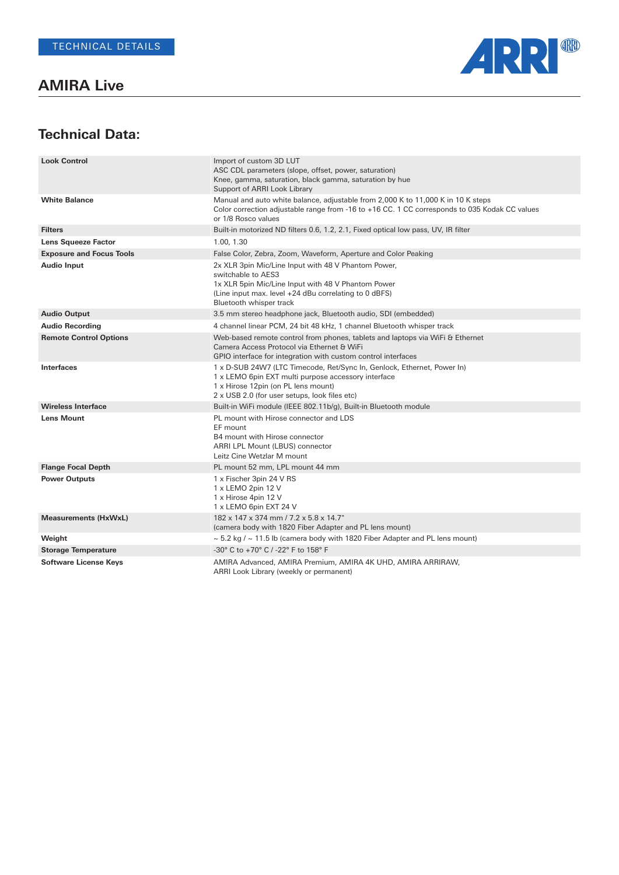**AMIRA Live**



| <b>Look Control</b>             | Import of custom 3D LUT<br>ASC CDL parameters (slope, offset, power, saturation)<br>Knee, gamma, saturation, black gamma, saturation by hue<br>Support of ARRI Look Library                                            |
|---------------------------------|------------------------------------------------------------------------------------------------------------------------------------------------------------------------------------------------------------------------|
| <b>White Balance</b>            | Manual and auto white balance, adjustable from 2,000 K to 11,000 K in 10 K steps<br>Color correction adjustable range from -16 to +16 CC. 1 CC corresponds to 035 Kodak CC values<br>or 1/8 Rosco values               |
| <b>Filters</b>                  | Built-in motorized ND filters 0.6, 1.2, 2.1, Fixed optical low pass, UV, IR filter                                                                                                                                     |
| <b>Lens Squeeze Factor</b>      | 1.00, 1.30                                                                                                                                                                                                             |
| <b>Exposure and Focus Tools</b> | False Color, Zebra, Zoom, Waveform, Aperture and Color Peaking                                                                                                                                                         |
| <b>Audio Input</b>              | 2x XLR 3pin Mic/Line Input with 48 V Phantom Power,<br>switchable to AES3<br>1x XLR 5pin Mic/Line Input with 48 V Phantom Power<br>(Line input max. level +24 dBu correlating to 0 dBFS)<br>Bluetooth whisper track    |
| <b>Audio Output</b>             | 3.5 mm stereo headphone jack, Bluetooth audio, SDI (embedded)                                                                                                                                                          |
| <b>Audio Recording</b>          | 4 channel linear PCM, 24 bit 48 kHz, 1 channel Bluetooth whisper track                                                                                                                                                 |
| <b>Remote Control Options</b>   | Web-based remote control from phones, tablets and laptops via WiFi & Ethernet<br>Camera Access Protocol via Ethernet & WiFi<br>GPIO interface for integration with custom control interfaces                           |
| <b>Interfaces</b>               | 1 x D-SUB 24W7 (LTC Timecode, Ret/Sync In, Genlock, Ethernet, Power In)<br>1 x LEMO 6pin EXT multi purpose accessory interface<br>1 x Hirose 12pin (on PL lens mount)<br>2 x USB 2.0 (for user setups, look files etc) |
| <b>Wireless Interface</b>       | Built-in WiFi module (IEEE 802.11b/g), Built-in Bluetooth module                                                                                                                                                       |
| <b>Lens Mount</b>               | PL mount with Hirose connector and LDS<br>EF mount<br>B4 mount with Hirose connector<br>ARRI LPL Mount (LBUS) connector<br>Leitz Cine Wetzlar M mount                                                                  |
| <b>Flange Focal Depth</b>       | PL mount 52 mm, LPL mount 44 mm                                                                                                                                                                                        |
| <b>Power Outputs</b>            | 1 x Fischer 3pin 24 V RS<br>1 x LEMO 2pin 12 V<br>1 x Hirose 4pin 12 V<br>1 x LEMO 6pin EXT 24 V                                                                                                                       |
| <b>Measurements (HxWxL)</b>     | 182 x 147 x 374 mm / 7.2 x 5.8 x 14.7"<br>(camera body with 1820 Fiber Adapter and PL lens mount)                                                                                                                      |
| Weight                          | $\sim$ 5.2 kg / $\sim$ 11.5 lb (camera body with 1820 Fiber Adapter and PL lens mount)                                                                                                                                 |
| <b>Storage Temperature</b>      | -30° C to +70° C / -22° F to 158° F                                                                                                                                                                                    |
| <b>Software License Keys</b>    | AMIRA Advanced, AMIRA Premium, AMIRA 4K UHD, AMIRA ARRIRAW,<br>ARRI Look Library (weekly or permanent)                                                                                                                 |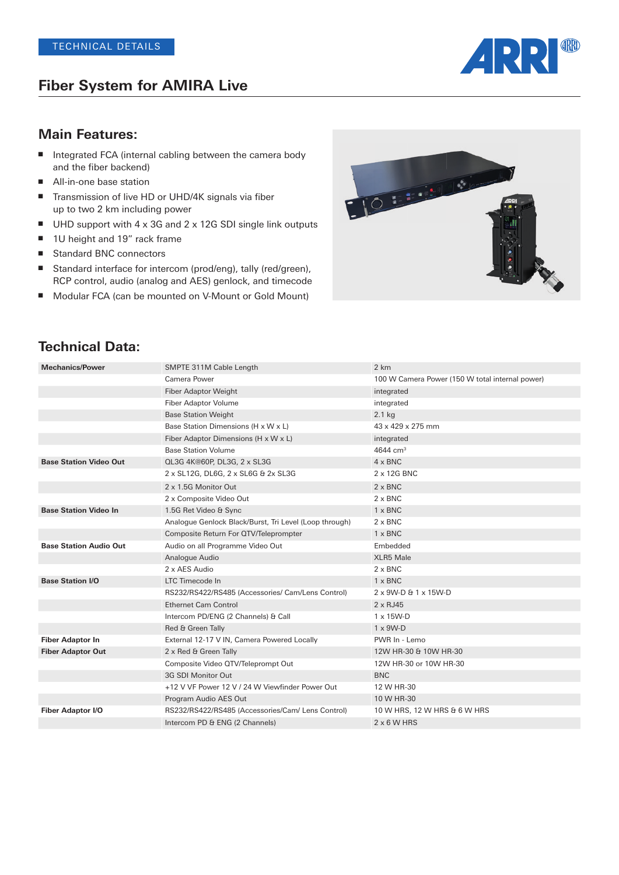# **Fiber System for AMIRA Live**



#### **Main Features:**

- Integrated FCA (internal cabling between the camera body and the fiber backend)
- All-in-one base station
- Transmission of live HD or UHD/4K signals via fiber up to two 2 km including power
- UHD support with 4 x 3G and 2 x 12G SDI single link outputs
- 1U height and 19" rack frame
- Standard BNC connectors
- Standard interface for intercom (prod/eng), tally (red/green), RCP control, audio (analog and AES) genlock, and timecode
- Modular FCA (can be mounted on V-Mount or Gold Mount)



| <b>Mechanics/Power</b>        | SMPTE 311M Cable Length                                | 2 km                                            |
|-------------------------------|--------------------------------------------------------|-------------------------------------------------|
|                               | Camera Power                                           | 100 W Camera Power (150 W total internal power) |
|                               | <b>Fiber Adaptor Weight</b>                            | integrated                                      |
|                               | Fiber Adaptor Volume                                   | integrated                                      |
|                               | <b>Base Station Weight</b>                             | $2.1$ kg                                        |
|                               | Base Station Dimensions (H x W x L)                    | 43 x 429 x 275 mm                               |
|                               | Fiber Adaptor Dimensions (H x W x L)                   | integrated                                      |
|                               | <b>Base Station Volume</b>                             | 4644 cm <sup>3</sup>                            |
| <b>Base Station Video Out</b> | QL3G 4K@60P, DL3G, 2 x SL3G                            | $4 \times BNC$                                  |
|                               | 2 x SL12G, DL6G, 2 x SL6G & 2x SL3G                    | 2 x 12G BNC                                     |
|                               | 2 x 1.5G Monitor Out                                   | $2 \times BNC$                                  |
|                               | 2 x Composite Video Out                                | $2 \times BNC$                                  |
| <b>Base Station Video In</b>  | 1.5G Ret Video & Sync                                  | $1 \times BNC$                                  |
|                               | Analogue Genlock Black/Burst, Tri Level (Loop through) | $2 \times BNC$                                  |
|                               | Composite Return For QTV/Teleprompter                  | $1 \times BNC$                                  |
| <b>Base Station Audio Out</b> | Audio on all Programme Video Out                       | Embedded                                        |
|                               | Analogue Audio                                         | <b>XLR5 Male</b>                                |
|                               | 2 x AES Audio                                          | $2 \times BNC$                                  |
| <b>Base Station I/O</b>       | LTC Timecode In                                        | $1 \times BNC$                                  |
|                               | RS232/RS422/RS485 (Accessories/ Cam/Lens Control)      | 2 x 9W-D & 1 x 15W-D                            |
|                               | <b>Ethernet Cam Control</b>                            | $2 \times RJ45$                                 |
|                               | Intercom PD/ENG (2 Channels) & Call                    | $1 \times 15$ W-D                               |
|                               | Red & Green Tally                                      | $1 \times 9W - D$                               |
| <b>Fiber Adaptor In</b>       | External 12-17 V IN, Camera Powered Locally            | PWR In - Lemo                                   |
| <b>Fiber Adaptor Out</b>      | 2 x Red & Green Tally                                  | 12W HR-30 & 10W HR-30                           |
|                               | Composite Video QTV/Teleprompt Out                     | 12W HR-30 or 10W HR-30                          |
|                               | 3G SDI Monitor Out                                     | <b>BNC</b>                                      |
|                               | +12 V VF Power 12 V / 24 W Viewfinder Power Out        | 12 W HR-30                                      |
|                               | Program Audio AES Out                                  | 10 W HR-30                                      |
| Fiber Adaptor I/O             | RS232/RS422/RS485 (Accessories/Cam/ Lens Control)      | 10 W HRS, 12 W HRS & 6 W HRS                    |
|                               | Intercom PD & ENG (2 Channels)                         | $2 \times 6$ W HRS                              |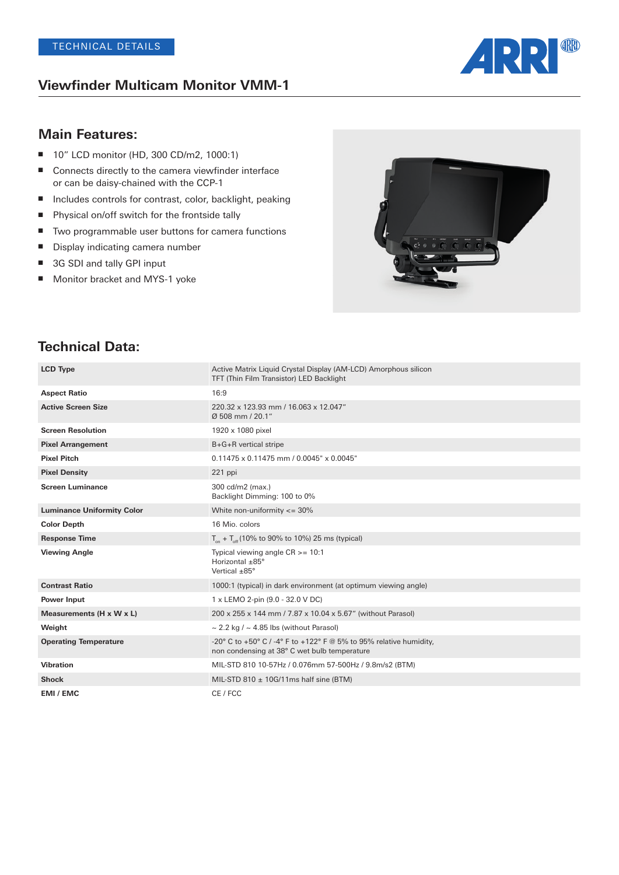#### **Viewfinder Multicam Monitor VMM-1**



## **Main Features:**

- 10" LCD monitor (HD, 300 CD/m2, 1000:1)
- Connects directly to the camera viewfinder interface or can be daisy-chained with the CCP-1
- Includes controls for contrast, color, backlight, peaking
- Physical on/off switch for the frontside tally
- Two programmable user buttons for camera functions
- Display indicating camera number
- 3G SDI and tally GPI input
- Monitor bracket and MYS-1 yoke



| <b>LCD Type</b>                   | Active Matrix Liquid Crystal Display (AM-LCD) Amorphous silicon                                                    |
|-----------------------------------|--------------------------------------------------------------------------------------------------------------------|
|                                   | TFT (Thin Film Transistor) LED Backlight                                                                           |
| <b>Aspect Ratio</b>               | 16:9                                                                                                               |
| <b>Active Screen Size</b>         | 220.32 x 123.93 mm / 16.063 x 12.047"<br>Ø 508 mm / 20.1"                                                          |
| <b>Screen Resolution</b>          | 1920 x 1080 pixel                                                                                                  |
| <b>Pixel Arrangement</b>          | B+G+R vertical stripe                                                                                              |
| <b>Pixel Pitch</b>                | $0.11475 \times 0.11475$ mm / $0.0045$ " x $0.0045$ "                                                              |
| <b>Pixel Density</b>              | 221 ppi                                                                                                            |
| <b>Screen Luminance</b>           | 300 cd/m2 (max.)<br>Backlight Dimming: 100 to 0%                                                                   |
| <b>Luminance Uniformity Color</b> | White non-uniformity $\epsilon$ = 30%                                                                              |
| <b>Color Depth</b>                | 16 Mio. colors                                                                                                     |
| <b>Response Time</b>              | $T_{on}$ + $T_{off}$ (10% to 90% to 10%) 25 ms (typical)                                                           |
| <b>Viewing Angle</b>              | Typical viewing angle $CR$ >= 10:1<br>Horizontal ±85°<br>Vertical $\pm$ 85°                                        |
| <b>Contrast Ratio</b>             | 1000:1 (typical) in dark environment (at optimum viewing angle)                                                    |
| Power Input                       | 1 x LEMO 2-pin (9.0 - 32.0 V DC)                                                                                   |
| Measurements (H x W x L)          | 200 x 255 x 144 mm / 7.87 x 10.04 x 5.67" (without Parasol)                                                        |
| Weight                            | $\sim$ 2.2 kg / $\sim$ 4.85 lbs (without Parasol)                                                                  |
| <b>Operating Temperature</b>      | -20° C to +50° C / -4° F to +122° F @ 5% to 95% relative humidity.<br>non condensing at 38° C wet bulb temperature |
| <b>Vibration</b>                  | MIL-STD 810 10-57Hz / 0.076mm 57-500Hz / 9.8m/s2 (BTM)                                                             |
| <b>Shock</b>                      | MIL-STD 810 $\pm$ 10G/11ms half sine (BTM)                                                                         |
| EMI / EMC                         | CE / FCC                                                                                                           |